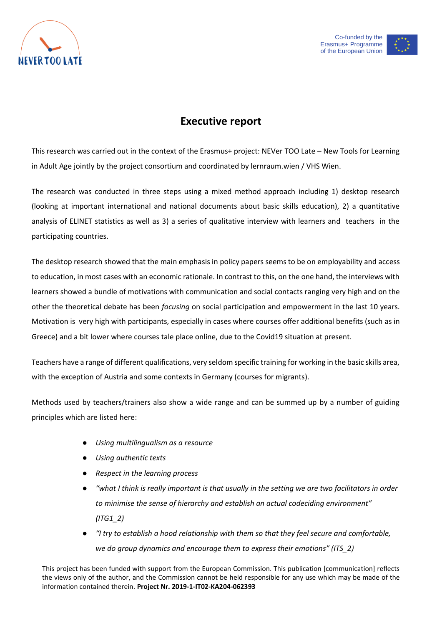



## **Executive report**

This research was carried out in the context of the Erasmus+ project: NEVer TOO Late – New Tools for Learning in Adult Age jointly by the project consortium and coordinated by lernraum.wien / VHS Wien.

The research was conducted in three steps using a mixed method approach including 1) desktop research (looking at important international and national documents about basic skills education), 2) a quantitative analysis of ELINET statistics as well as 3) a series of qualitative interview with learners and teachers in the participating countries.

**Executive report**<br>
information contained the transmission contained therein. The control of the European Contained Co-funded Application contained the project constrained of the Franchise Contained the Co-funded Sylems.<br> The desktop research showed that the main emphasis in policy papers seems to be on employability and access to education, in most cases with an economic rationale. In contrast to this, on the one hand, the interviews with learners showed a bundle of motivations with communication and social contacts ranging very high and on the other the theoretical debate has been *focusing* on social participation and empowerment in the last 10 years. Motivation is very high with participants, especially in cases where courses offer additional benefits (such as in Greece) and a bit lower where courses tale place online, due to the Covid19 situation at present.

Teachers have a range of different qualifications, very seldom specific training for working in the basic skills area, with the exception of Austria and some contexts in Germany (courses for migrants).

Methods used by teachers/trainers also show a wide range and can be summed up by a number of guiding principles which are listed here:

- *Using multilingualism as a resource*
- *Using authentic texts*
- *Respect in the learning process*
- "what I think is really important is that usually in the setting we are two facilitators in order *to minimise the sense of hierarchy and establish an actual codeciding environment" (ITG1\_2)*
- *"I try to establish a hood relationship with them so that they feel secure and comfortable, we do group dynamics and encourage them to express their emotions" (ITS\_2)*

This project has been funded with support from the European Commission. This publication [communication] reflects the views only of the author, and the Commission cannot be held responsible for any use which may be made of the